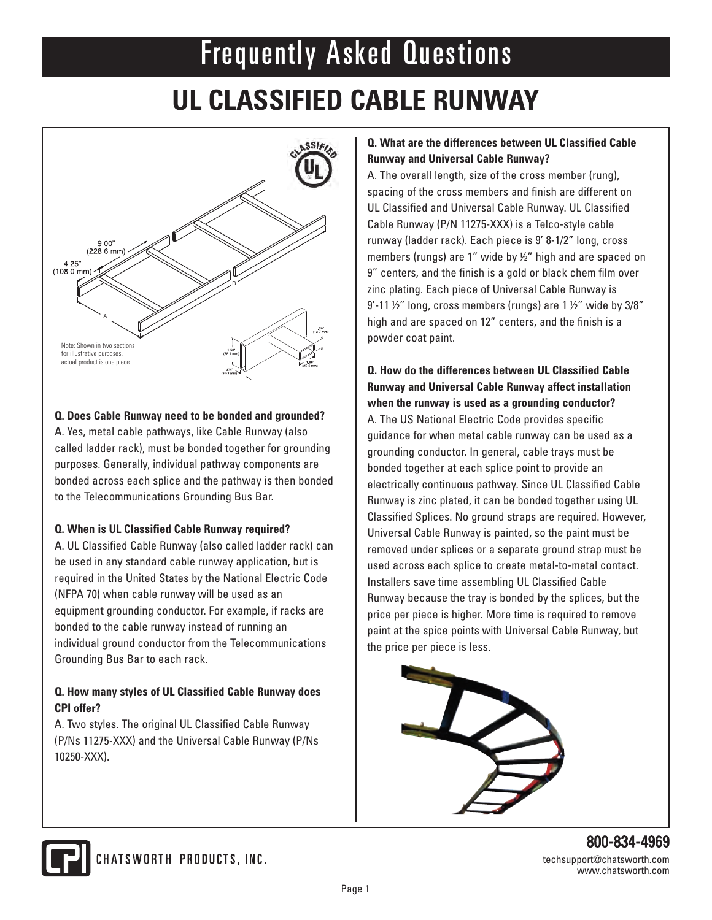# Frequently Asked Questions

### **UL CLASSIFIED CABLE RUNWAY**



#### **Q. Does Cable Runway need to be bonded and grounded?**

A. Yes, metal cable pathways, like Cable Runway (also called ladder rack), must be bonded together for grounding purposes. Generally, individual pathway components are bonded across each splice and the pathway is then bonded to the Telecommunications Grounding Bus Bar.

#### **Q. When is UL Classified Cable Runway required?**

A. UL Classified Cable Runway (also called ladder rack) can be used in any standard cable runway application, but is required in the United States by the National Electric Code (NFPA 70) when cable runway will be used as an equipment grounding conductor. For example, if racks are bonded to the cable runway instead of running an individual ground conductor from the Telecommunications Grounding Bus Bar to each rack.

#### **Q. How many styles of UL Classified Cable Runway does CPI offer?**

A. Two styles. The original UL Classified Cable Runway (P/Ns 11275-XXX) and the Universal Cable Runway (P/Ns 10250-XXX).

#### **Q. What are the differences between UL Classified Cable Runway and Universal Cable Runway?**

A. The overall length, size of the cross member (rung), spacing of the cross members and finish are different on UL Classified and Universal Cable Runway. UL Classified Cable Runway (P/N 11275-XXX) is a Telco-style cable runway (ladder rack). Each piece is 9' 8-1/2" long, cross members (rungs) are 1" wide by ½" high and are spaced on 9" centers, and the finish is a gold or black chem film over zinc plating. Each piece of Universal Cable Runway is  $9'$ -11  $\frac{1}{2}$ " long, cross members (rungs) are 1  $\frac{1}{2}$ " wide by 3/8" high and are spaced on 12" centers, and the finish is a powder coat paint.

#### **Q. How do the differences between UL Classified Cable Runway and Universal Cable Runway affect installation when the runway is used as a grounding conductor?**

A. The US National Electric Code provides specific guidance for when metal cable runway can be used as a grounding conductor. In general, cable trays must be bonded together at each splice point to provide an electrically continuous pathway. Since UL Classified Cable Runway is zinc plated, it can be bonded together using UL Classified Splices. No ground straps are required. However, Universal Cable Runway is painted, so the paint must be removed under splices or a separate ground strap must be used across each splice to create metal-to-metal contact. Installers save time assembling UL Classified Cable Runway because the tray is bonded by the splices, but the price per piece is higher. More time is required to remove paint at the spice points with Universal Cable Runway, but the price per piece is less.